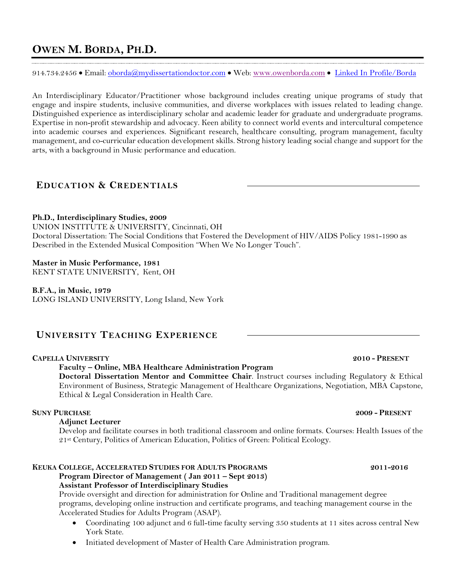914.734.2456 • Email: oborda@mydissertationdoctor.com • Web: www.owenborda.com • Linked In Profile/Borda

An Interdisciplinary Educator/Practitioner whose background includes creating unique programs of study that engage and inspire students, inclusive communities, and diverse workplaces with issues related to leading change. Distinguished experience as interdisciplinary scholar and academic leader for graduate and undergraduate programs. Expertise in non-profit stewardship and advocacy. Keen ability to connect world events and intercultural competence into academic courses and experiences. Significant research, healthcare consulting, program management, faculty management, and co-curricular education development skills. Strong history leading social change and support for the arts, with a background in Music performance and education.

# **EDUCATION & CREDENTIALS**

### **Ph.D., Interdisciplinary Studies, 2009**

UNION INSTITUTE & UNIVERSITY, Cincinnati, OH Doctoral Dissertation: The Social Conditions that Fostered the Development of HIV/AIDS Policy 1981-1990 as Described in the Extended Musical Composition "When We No Longer Touch".

## **Master in Music Performance, 1981**

KENT STATE UNIVERSITY, Kent, OH

**B.F.A., in Music, 1979** LONG ISLAND UNIVERSITY, Long Island, New York

# **UNIVERSITY TEACHING EXPERIENCE**

### **CAPELLA UNIVERSITY 2010 - PRESENT**

### **Faculty – Online, MBA Healthcare Administration Program**

**Doctoral Dissertation Mentor and Committee Chair**. Instruct courses including Regulatory & Ethical Environment of Business, Strategic Management of Healthcare Organizations, Negotiation, MBA Capstone, Ethical & Legal Consideration in Health Care.

# **SUNY PURCHASE 2009 - PRESENT**

### **Adjunct Lecturer**

Develop and facilitate courses in both traditional classroom and online formats. Courses: Health Issues of the 21st Century, Politics of American Education, Politics of Green: Political Ecology.

### **KEUKA COLLEGE, ACCELERATED STUDIES FOR ADULTS PROGRAMS 2011-2016 Program Director of Management ( Jan 2011 – Sept 2013) Assistant Professor of Interdisciplinary Studies**

Provide oversight and direction for administration for Online and Traditional management degree programs, developing online instruction and certificate programs, and teaching management course in the Accelerated Studies for Adults Program (ASAP).

- Coordinating 100 adjunct and 6 full-time faculty serving 350 students at 11 sites across central New York State.
- Initiated development of Master of Health Care Administration program.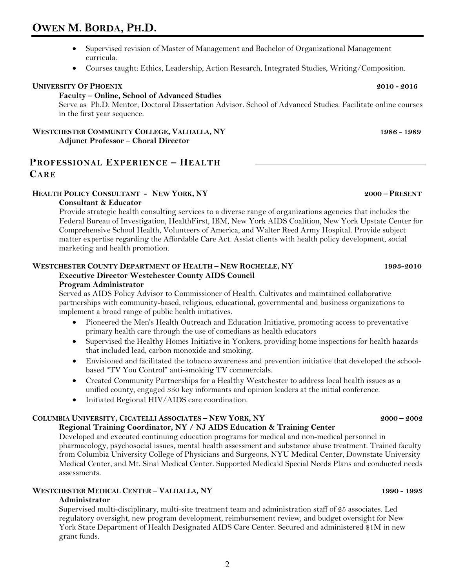- Supervised revision of Master of Management and Bachelor of Organizational Management curricula.
- Courses taught: Ethics, Leadership, Action Research, Integrated Studies, Writing/Composition.

### **UNIVERSITY OF PHOENIX** 2010 **-** 2016

**Faculty – Online, School of Advanced Studies** Serve as Ph.D. Mentor, Doctoral Dissertation Advisor. School of Advanced Studies. Facilitate online courses in the first year sequence.

### **WESTCHESTER COMMUNITY COLLEGE, VALHALLA, NY 1986 - 1989 Adjunct Professor – Choral Director**

# **PROFESSIONAL EXPERIENCE – HEALTH CARE**

### **HEALTH POLICY CONSULTANT - NEW YORK, NY 2000 – PRESENT**

### **Consultant & Educator**

Provide strategic health consulting services to a diverse range of organizations agencies that includes the Federal Bureau of Investigation, HealthFirst, IBM, New York AIDS Coalition, New York Upstate Center for Comprehensive School Health, Volunteers of America, and Walter Reed Army Hospital. Provide subject matter expertise regarding the Affordable Care Act. Assist clients with health policy development, social marketing and health promotion.

# **WESTCHESTER COUNTY DEPARTMENT OF HEALTH – NEW ROCHELLE, NY 1993-2010**

# **Executive Director Westchester County AIDS Council**

### **Program Administrator**

Served as AIDS Policy Advisor to Commissioner of Health. Cultivates and maintained collaborative partnerships with community-based, religious, educational, governmental and business organizations to implement a broad range of public health initiatives.

- Pioneered the Men's Health Outreach and Education Initiative, promoting access to preventative primary health care through the use of comedians as health educators
- Supervised the Healthy Homes Initiative in Yonkers, providing home inspections for health hazards that included lead, carbon monoxide and smoking.
- Envisioned and facilitated the tobacco awareness and prevention initiative that developed the schoolbased "TV You Control" anti-smoking TV commercials.
- Created Community Partnerships for a Healthy Westchester to address local health issues as a unified county, engaged 350 key informants and opinion leaders at the initial conference.
- Initiated Regional HIV/AIDS care coordination.

## **COLUMBIA UNIVERSITY, CICATELLI ASSOCIATES – NEW YORK, NY 2000 – 2002**

### **Regional Training Coordinator, NY / NJ AIDS Education & Training Center**

Developed and executed continuing education programs for medical and non-medical personnel in pharmacology, psychosocial issues, mental health assessment and substance abuse treatment. Trained faculty from Columbia University College of Physicians and Surgeons, NYU Medical Center, Downstate University Medical Center, and Mt. Sinai Medical Center. Supported Medicaid Special Needs Plans and conducted needs assessments.

### **WESTCHESTER MEDICAL CENTER – VALHALLA, NY 1990 - 1993**

## **Administrator**

Supervised multi-disciplinary, multi-site treatment team and administration staff of 25 associates. Led regulatory oversight, new program development, reimbursement review, and budget oversight for New York State Department of Health Designated AIDS Care Center. Secured and administered \$1M in new grant funds.

2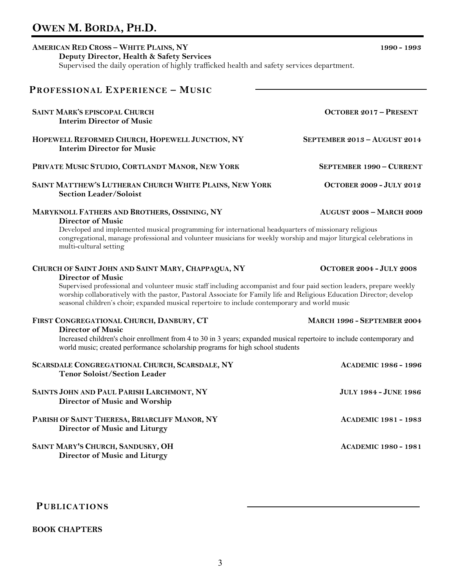# **AMERICAN RED CROSS – WHITE PLAINS, NY 1990 - 1993 Deputy Director, Health & Safety Services** Supervised the daily operation of highly trafficked health and safety services department. **PROFESSIONAL EXPERIENCE – MUSIC SAINT MARK'S EPISCOPAL CHURCH OCTOBER 2017 – PRESENT Interim Director of Music HOPEWELL REFORMED CHURCH, HOPEWELL JUNCTION, NY SEPTEMBER 2013 – AUGUST 2014 Interim Director for Music PRIVATE MUSIC STUDIO, CORTLANDT MANOR, NEW YORK SEPTEMBER 1990 – CURRENT**

### **SAINT MATTHEW'S LUTHERAN CHURCH WHITE PLAINS, NEW YORK OCTOBER 2009 - JULY 2012 Section Leader/Soloist**

### **MARYKNOLL FATHERS AND BROTHERS, OSSINING, NY AUGUST 2008 – MARCH 2009**

### **Director of Music**

Developed and implemented musical programming for international headquarters of missionary religious congregational, manage professional and volunteer musicians for weekly worship and major liturgical celebrations in multi-cultural setting

## **CHURCH OF SAINT JOHN AND SAINT MARY, CHAPPAQUA, NY OCTOBER 2004 - JULY 2008**

### **Director of Music**

Supervised professional and volunteer music staff including accompanist and four paid section leaders, prepare weekly worship collaboratively with the pastor, Pastoral Associate for Family life and Religious Education Director; develop seasonal children's choir; expanded musical repertoire to include contemporary and world music

### **FIRST CONGREGATIONAL CHURCH, DANBURY, CT MARCH 1996 - SEPTEMBER 2004**

### **Director of Music**

Increased children's choir enrollment from 4 to 30 in 3 years; expanded musical repertoire to include contemporary and world music; created performance scholarship programs for high school students

| SCARSDALE CONGREGATIONAL CHURCH, SCARSDALE, NY<br><b>Tenor Soloist/Section Leader</b> | <b>ACADEMIC 1986 - 1996</b>  |
|---------------------------------------------------------------------------------------|------------------------------|
| SAINTS JOHN AND PAUL PARISH LARCHMONT, NY<br>Director of Music and Worship            | <b>JULY 1984 - JUNE 1986</b> |
| PARISH OF SAINT THERESA, BRIARCLIFF MANOR, NY<br>Director of Music and Liturgy        | <b>ACADEMIC 1981 - 1983</b>  |
| SAINT MARY'S CHURCH, SANDUSKY, OH<br>Director of Music and Liturgy                    | <b>ACADEMIC 1980 - 1981</b>  |

# **PUBLICATIONS**

### **BOOK CHAPTERS**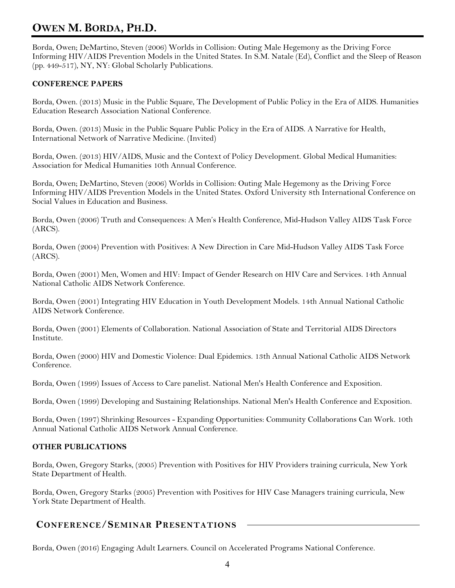Borda, Owen; DeMartino, Steven (2006) Worlds in Collision: Outing Male Hegemony as the Driving Force Informing HIV/AIDS Prevention Models in the United States. In S.M. Natale (Ed), Conflict and the Sleep of Reason (pp. 449-517), NY, NY: Global Scholarly Publications.

## **CONFERENCE PAPERS**

Borda, Owen. (2013) Music in the Public Square, The Development of Public Policy in the Era of AIDS. Humanities Education Research Association National Conference.

Borda, Owen. (2013) Music in the Public Square Public Policy in the Era of AIDS. A Narrative for Health, International Network of Narrative Medicine. (Invited)

Borda, Owen. (2013) HIV/AIDS, Music and the Context of Policy Development. Global Medical Humanities: Association for Medical Humanities 10th Annual Conference.

Borda, Owen; DeMartino, Steven (2006) Worlds in Collision: Outing Male Hegemony as the Driving Force Informing HIV/AIDS Prevention Models in the United States. Oxford University 8th International Conference on Social Values in Education and Business.

Borda, Owen (2006) Truth and Consequences: A Men's Health Conference, Mid-Hudson Valley AIDS Task Force (ARCS).

Borda, Owen (2004) Prevention with Positives: A New Direction in Care Mid-Hudson Valley AIDS Task Force (ARCS).

Borda, Owen (2001) Men, Women and HIV: Impact of Gender Research on HIV Care and Services. 14th Annual National Catholic AIDS Network Conference.

Borda, Owen (2001) Integrating HIV Education in Youth Development Models. 14th Annual National Catholic AIDS Network Conference.

Borda, Owen (2001) Elements of Collaboration. National Association of State and Territorial AIDS Directors Institute.

Borda, Owen (2000) HIV and Domestic Violence: Dual Epidemics. 13th Annual National Catholic AIDS Network Conference.

Borda, Owen (1999) Issues of Access to Care panelist. National Men's Health Conference and Exposition.

Borda, Owen (1999) Developing and Sustaining Relationships. National Men's Health Conference and Exposition.

Borda, Owen (1997) Shrinking Resources - Expanding Opportunities: Community Collaborations Can Work. 10th Annual National Catholic AIDS Network Annual Conference.

### **OTHER PUBLICATIONS**

Borda, Owen, Gregory Starks, (2005) Prevention with Positives for HIV Providers training curricula, New York State Department of Health.

Borda, Owen, Gregory Starks (2005) Prevention with Positives for HIV Case Managers training curricula, New York State Department of Health.

# **CONFERENCE/SEMINAR PRESENTATIONS**

Borda, Owen (2016) Engaging Adult Learners. Council on Accelerated Programs National Conference.